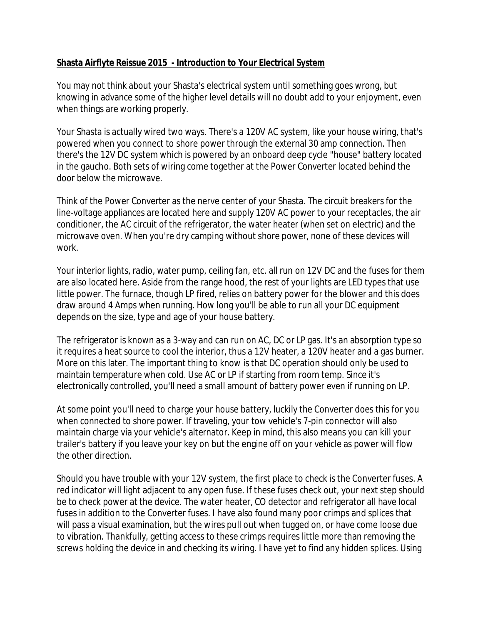# **Shasta Airflyte Reissue 2015 - Introduction to Your Electrical System**

You may not think about your Shasta's electrical system until something goes wrong, but knowing in advance some of the higher level details will no doubt add to your enjoyment, even when things are working properly.

Your Shasta is actually wired two ways. There's a 120V AC system, like your house wiring, that's powered when you connect to shore power through the external 30 amp connection. Then there's the 12V DC system which is powered by an onboard deep cycle "house" battery located in the gaucho. Both sets of wiring come together at the Power Converter located behind the door below the microwave.

Think of the Power Converter as the nerve center of your Shasta. The circuit breakers for the line-voltage appliances are located here and supply 120V AC power to your receptacles, the air conditioner, the AC circuit of the refrigerator, the water heater (when set on electric) and the microwave oven. When you're dry camping without shore power, none of these devices will work.

Your interior lights, radio, water pump, ceiling fan, etc. all run on 12V DC and the fuses for them are also located here. Aside from the range hood, the rest of your lights are LED types that use little power. The furnace, though LP fired, relies on battery power for the blower and this does draw around 4 Amps when running. How long you'll be able to run all your DC equipment depends on the size, type and age of your house battery.

The refrigerator is known as a 3-way and can run on AC, DC or LP gas. It's an absorption type so it requires a heat source to cool the interior, thus a 12V heater, a 120V heater and a gas burner. More on this later. The important thing to know is that DC operation should only be used to maintain temperature when cold. Use AC or LP if starting from room temp. Since it's electronically controlled, you'll need a small amount of battery power even if running on LP.

At some point you'll need to charge your house battery, luckily the Converter does this for you when connected to shore power. If traveling, your tow vehicle's 7-pin connector will also maintain charge via your vehicle's alternator. Keep in mind, this also means you can kill your trailer's battery if you leave your key on but the engine off on your vehicle as power will flow the other direction.

Should you have trouble with your 12V system, the first place to check is the Converter fuses. A red indicator will light adjacent to any open fuse. If these fuses check out, your next step should be to check power at the device. The water heater, CO detector and refrigerator all have local fuses in addition to the Converter fuses. I have also found many poor crimps and splices that will pass a visual examination, but the wires pull out when tugged on, or have come loose due to vibration. Thankfully, getting access to these crimps requires little more than removing the screws holding the device in and checking its wiring. I have yet to find any hidden splices. Using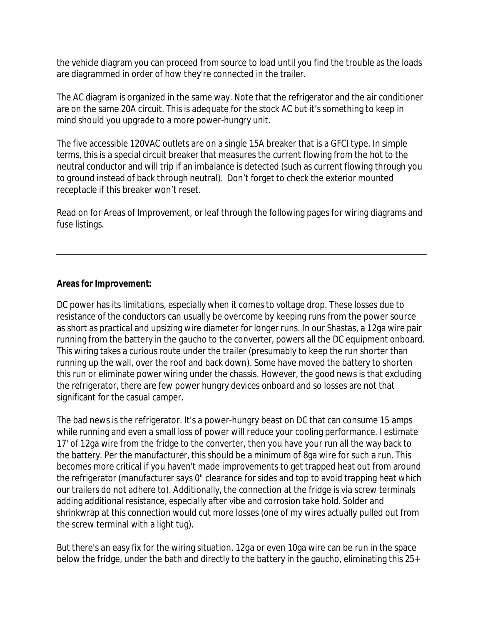the vehicle diagram you can proceed from source to load until you find the trouble as the loads are diagrammed in order of how they're connected in the trailer.

The AC diagram is organized in the same way. Note that the refrigerator and the air conditioner are on the same 20A circuit. This is adequate for the stock AC but it's something to keep in mind should you upgrade to a more power-hungry unit.

The five accessible 120VAC outlets are on a single 15A breaker that is a GFCI type. In simple terms, this is a special circuit breaker that measures the current flowing from the hot to the neutral conductor and will trip if an imbalance is detected (such as current flowing through you to ground instead of back through neutral). Don't forget to check the exterior mounted receptacle if this breaker won't reset.

Read on for Areas of Improvement, or leaf through the following pages for wiring diagrams and fuse listings.

# **Areas for Improvement:**

DC power has its limitations, especially when it comes to voltage drop. These losses due to resistance of the conductors can usually be overcome by keeping runs from the power source as short as practical and upsizing wire diameter for longer runs. In our Shastas, a 12ga wire pair running from the battery in the gaucho to the converter, powers all the DC equipment onboard. This wiring takes a curious route under the trailer (presumably to keep the run shorter than running up the wall, over the roof and back down). Some have moved the battery to shorten this run or eliminate power wiring under the chassis. However, the good news is that excluding the refrigerator, there are few power hungry devices onboard and so losses are not that significant for the casual camper.

The bad news is the refrigerator. It's a power-hungry beast on DC that can consume 15 amps while running and even a small loss of power will reduce your cooling performance. I estimate 17' of 12ga wire from the fridge to the converter, then you have your run all the way back to the battery. Per the manufacturer, this should be a minimum of 8ga wire for such a run. This becomes more critical if you haven't made improvements to get trapped heat out from around the refrigerator (manufacturer says 0" clearance for sides and top to avoid trapping heat which our trailers do not adhere to). Additionally, the connection at the fridge is via screw terminals adding additional resistance, especially after vibe and corrosion take hold. Solder and shrinkwrap at this connection would cut more losses (one of my wires actually pulled out from the screw terminal with a light tug).

But there's an easy fix for the wiring situation. 12ga or even 10ga wire can be run in the space below the fridge, under the bath and directly to the battery in the gaucho, eliminating this 25+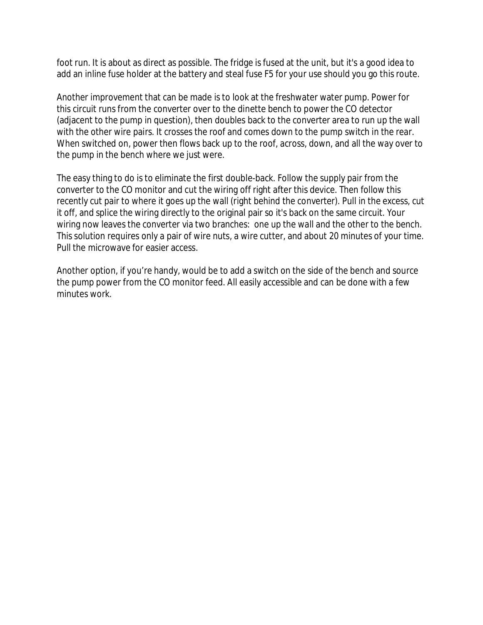foot run. It is about as direct as possible. The fridge is fused at the unit, but it's a good idea to add an inline fuse holder at the battery and steal fuse F5 for your use should you go this route.

Another improvement that can be made is to look at the freshwater water pump. Power for this circuit runs from the converter over to the dinette bench to power the CO detector (adjacent to the pump in question), then doubles back to the converter area to run up the wall with the other wire pairs. It crosses the roof and comes down to the pump switch in the rear. When switched on, power then flows back up to the roof, across, down, and all the way over to the pump in the bench where we just were.

The easy thing to do is to eliminate the first double-back. Follow the supply pair from the converter to the CO monitor and cut the wiring off right after this device. Then follow this recently cut pair to where it goes up the wall (right behind the converter). Pull in the excess, cut it off, and splice the wiring directly to the original pair so it's back on the same circuit. Your wiring now leaves the converter via two branches: one up the wall and the other to the bench. This solution requires only a pair of wire nuts, a wire cutter, and about 20 minutes of your time. Pull the microwave for easier access.

Another option, if you're handy, would be to add a switch on the side of the bench and source the pump power from the CO monitor feed. All easily accessible and can be done with a few minutes work.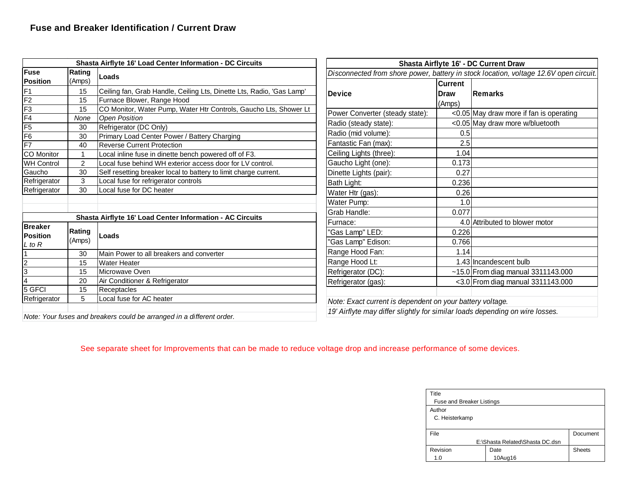| Shasta Airflyte 16' Load Center Information - DC Circuits |               |                                                                       | Shasta Airflyte 16' - DC Current Draw                                                 |                |                                         |
|-----------------------------------------------------------|---------------|-----------------------------------------------------------------------|---------------------------------------------------------------------------------------|----------------|-----------------------------------------|
| <b>Fuse</b>                                               | Rating        | Loads                                                                 | Disconnected from shore power, battery in stock location, voltage 12.6V open circuit. |                |                                         |
| <b>Position</b>                                           | (Amps)        |                                                                       |                                                                                       | <b>Current</b> |                                         |
| F1                                                        | 15            | Ceiling fan, Grab Handle, Ceiling Lts, Dinette Lts, Radio, 'Gas Lamp' | <b>Device</b>                                                                         | <b>IDraw</b>   | <b>Remarks</b>                          |
| F <sub>2</sub>                                            | 15            | Furnace Blower, Range Hood                                            |                                                                                       | (Amps)         |                                         |
| F3                                                        | 15            | CO Monitor, Water Pump, Water Htr Controls, Gaucho Lts, Shower Lt     | Power Converter (steady state):                                                       |                | <0.05 May draw more if fan is operating |
| F4                                                        | None          | Open Position                                                         | Radio (steady state):                                                                 |                | <0.05 May draw more w/bluetooth         |
| F5                                                        | 30            | Refrigerator (DC Only)                                                | Radio (mid volume):                                                                   | 0.5            |                                         |
| F6                                                        | 30            | Primary Load Center Power / Battery Charging                          |                                                                                       |                |                                         |
| F7                                                        | 40            | <b>Reverse Current Protection</b>                                     | Fantastic Fan (max):                                                                  | 2.5            |                                         |
| CO Monitor                                                |               | Local inline fuse in dinette bench powered off of F3.                 | Ceiling Lights (three):                                                               | 1.04           |                                         |
| <b>WH Control</b>                                         | 2             | Local fuse behind WH exterior access door for LV control.             | Gaucho Light (one):                                                                   | 0.173          |                                         |
| Gaucho                                                    | 30            | Self resetting breaker local to battery to limit charge current.      | Dinette Lights (pair):                                                                | 0.27           |                                         |
| Refrigerator                                              | 3             | Local fuse for refrigerator controls                                  | Bath Light:                                                                           | 0.236          |                                         |
| Refrigerator                                              | 30            | Local fuse for DC heater                                              | Water Htr (gas):                                                                      | 0.26           |                                         |
|                                                           |               |                                                                       | Water Pump:                                                                           | 1.0            |                                         |
|                                                           |               |                                                                       | Grab Handle:                                                                          | 0.077          |                                         |
|                                                           |               | Shasta Airflyte 16' Load Center Information - AC Circuits             | Furnace:                                                                              |                | 4.0 Attributed to blower motor          |
| <b>Breaker</b><br><b>Position</b>                         | <b>Rating</b> | Loads                                                                 | 'Gas Lamp" LED:                                                                       | 0.226          |                                         |
| L to R                                                    | (Amps)        |                                                                       | 'Gas Lamp" Edison:                                                                    | 0.766          |                                         |
|                                                           | 30            | Main Power to all breakers and converter                              | Range Hood Fan:                                                                       | 1.14           |                                         |
|                                                           | 15            | <b>Water Heater</b>                                                   | Range Hood Lt:                                                                        |                | 1.43 Incandescent bulb                  |
| 3                                                         | 15            | Microwave Oven                                                        | Refrigerator (DC):                                                                    |                | $~15.0$ From diag manual 3311143.000    |
|                                                           | 20            | Air Conditioner & Refrigerator                                        | Refrigerator (gas):                                                                   |                | $<$ 3.0 From diag manual 3311143.000    |
| 5 GFCI                                                    | 15            | Receptacles                                                           |                                                                                       |                |                                         |
| Refrigerator                                              | 5             | Local fuse for AC heater                                              | Note: Exact current is dependent on your battery voltage.                             |                |                                         |
|                                                           |               |                                                                       | 19' Airflyte may differ slightly for similar loads depending on wire losses.          |                |                                         |
|                                                           |               | Note: Your fuses and breakers could be arranged in a different order. |                                                                                       |                |                                         |

See separate sheet for Improvements that can be made to reduce voltage drop and increase performance of some devices.

| Title                            |         |               |  |  |
|----------------------------------|---------|---------------|--|--|
| <b>Fuse and Breaker Listings</b> |         |               |  |  |
| Author                           |         |               |  |  |
| C. Heisterkamp                   |         |               |  |  |
|                                  |         |               |  |  |
| File                             |         | Document      |  |  |
| E:\Shasta Related\Shasta DC.dsn  |         |               |  |  |
| Revision                         | Date    | <b>Sheets</b> |  |  |
| 1.0                              | 10Aug16 |               |  |  |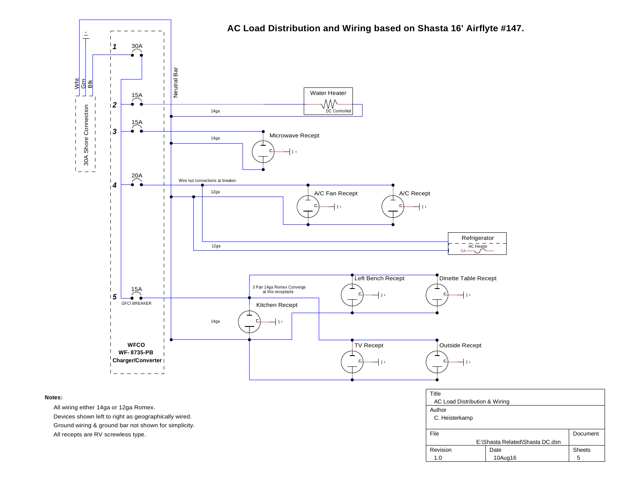

#### **Notes:**

All wiring either 14ga or 12ga Romex.

Devices shown left to right as geographically wired.

Ground wiring & ground bar not shown for simplicity.

All recepts are RV screwless type.

| Title                           |         |               |  |  |
|---------------------------------|---------|---------------|--|--|
| AC Load Distribution & Wiring   |         |               |  |  |
| Author                          |         |               |  |  |
| C. Heisterkamp                  |         |               |  |  |
|                                 |         |               |  |  |
| File                            |         | Document      |  |  |
| E:\Shasta Related\Shasta DC.dsn |         |               |  |  |
| Revision                        | Date    | <b>Sheets</b> |  |  |
| 1.0                             | 10Aug16 | 5             |  |  |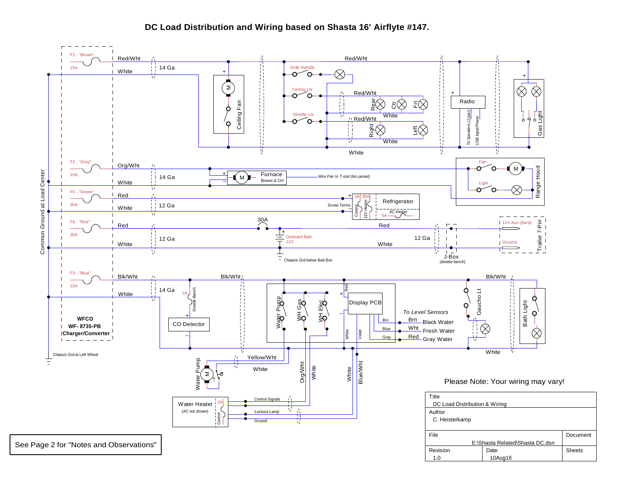### **DC Load Distribution and Wiring based on Shasta 16' Airflyte #147.**

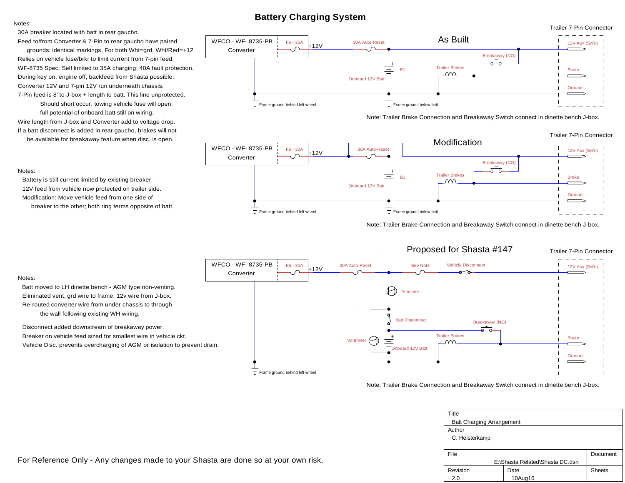## **Battery Charging System**

#### 30A breaker located with batt in rear gaucho.

Feed to/from Converter & 7-Pin to rear gaucho have paired

Converter 12V and 7-pin 12V run underneath chassis. 7-Pin feed is 8' to J-box + length to batt. This line unprotected. Should short occur, towing vehicle fuse will open; full potential of onboard batt still on wiring. Wire length from J-box and Converter add to voltage drop. If a batt disconnect is added in rear gaucho, brakes will not During key on, engine off, backfeed from Shasta possible. WF-8735 Spec: Self limited to 35A charging; 40A fault protection. Relies on vehicle fuse/brkr to limit current from 7-pin feed. grounds; identical markings. For both Wht=grd, Wht/Red=+12

be available for breakaway feature when disc. is open.



Note: Trailer Brake Connection and Breakaway Switch connect in dinette bench J-box.



Note: Trailer Brake Connection and Breakaway Switch connect in dinette bench J-box.



#### Note: Trailer Brake Connection and Breakaway Switch connect in dinette bench J-box.

| Title                            |         |               |  |  |
|----------------------------------|---------|---------------|--|--|
| <b>Batt Charging Arrangement</b> |         |               |  |  |
| Author                           |         |               |  |  |
| C. Heisterkamp                   |         |               |  |  |
|                                  |         |               |  |  |
| File                             |         | Document      |  |  |
| E:\Shasta Related\Shasta DC.dsn  |         |               |  |  |
| Revision                         | Date    | <b>Sheets</b> |  |  |
| 2.0                              | 10Aug16 |               |  |  |

### Notes:

Notes:

Battery is still current limited by existing breaker. 12V feed from vehicle now protected on trailer side. Modification: Move vehicle feed from one side of breaker to the other; both ring terms opposite of batt.

#### Notes:

Batt moved to LH dinette bench - AGM type non-venting. Eliminated vent, grd wire to frame, 12v wire from J-box. Re-routed converter wire from under chassis to through the wall following existing WH wiring.

Disconnect added downstream of breakaway power. Breaker on vehicle feed sized for smallest wire in vehicle ckt. Vehicle Disc. prevents overcharging of AGM or isolation to prevent drain.

For Reference Only - Any changes made to your Shasta are done so at your own risk.

Trailer 7-Pin Connector